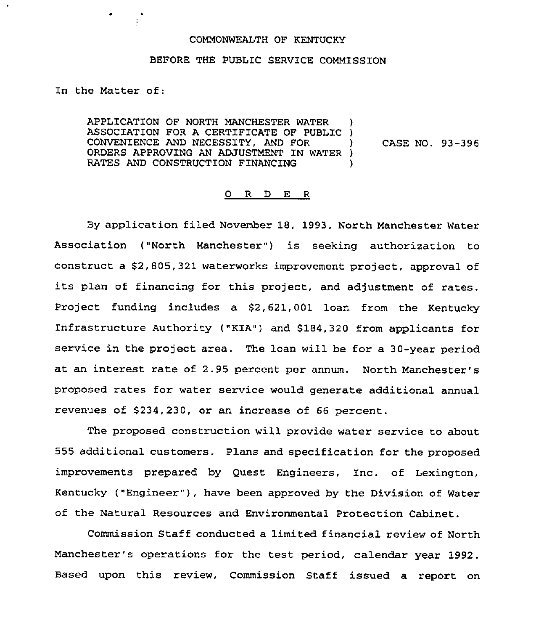## COMMONWEALTH OF KENTUCKY

#### BEFORE THE PUBLIC SERVICE COMMISSION

In the Matter of:

APPLICATION OF NORTH MANCHESTER WATER ) ASSOCIATION FOR A CERTIFICATE OF PUBLIC ) CONVENIENCE AND NECESSITY, AND FOR Y. ORDERS APPROVING AN ADJUSTMENT IN WATER ) RATES AND CONSTRUCTION FINANCING

CASE NO. 93-396

#### 0 R <sup>D</sup> E R

By application filed November 18, 1993, North Manchester Water Association ("North Manchester") is seeking authorization to construct a \$2,805,321 waterworks improvement project, approval of its plan of financing for this project, and adjustment of rates. pxoject funding includes a \$2,621,001 loan from the Kentucky Infrastructure Authority ("KIA") and \$ 184,320 from applicants for service in the project area. The loan will be for a 30-year period at an interest rate of 2.95 percent per annum. North Manchester's proposed rates for water service would generate additional annual revenues of \$234,230, or an increase of 66 pexcent.

The proposed construction will provide water service to about 555 additional customers. Plans and specification for the proposed improvements prepared by Quest Engineers, Inc. of Lexington, Kentucky ("Engineer"), have been approved by the Division of Water of the Natural Resources and Environmental Protection Cabinet.

Commission Staff conducted a limited financial review of North Manchester's operations for the test period, calendar year 1992. Based upon this review, Commission Staff issued a report on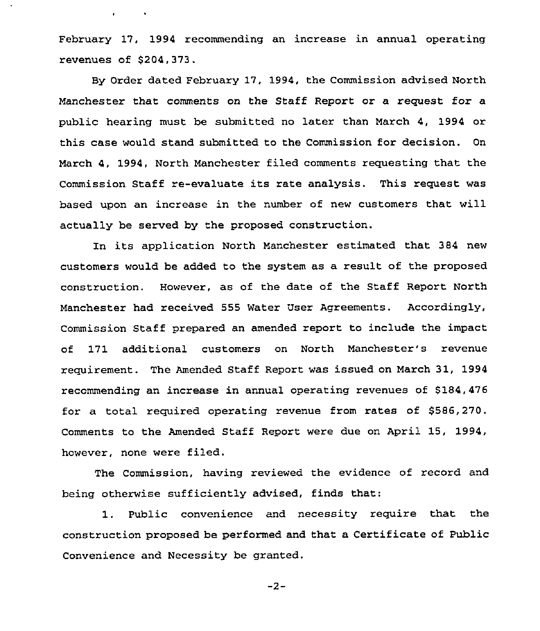February 17, 1994 recommending an increase in annual operating revenues of  $$204,373.$ 

 $\mathbf{r} = (1, \ldots, 1, \ldots, \mathbf{r})$ 

By Order dated February 17, 1994, the Commission advised North Manchester that comments on the Staff Report or a request for a public hearing must be submitted no later than March 4, 1994 or this case would stand submitted to the Commission for decision. On March 4, 1994, North Manchester filed comments requesting that the Commission Staff re-evaluate its rate analysis. This request was based upon an increase in the number of new customers that will actually be served by the proposed construction.

In its application North Manchester estimated that 384 new customers would be added to the system as a result of the proposed construction. However, as of the date of the Staff Report North Manchester had received 555 Water User Agreements. Accordingly, Commission Staff prepared an amended report to include the impact of 171 additional customers on North Manchester's revenue requirement. The Amended Staff Report was issued on March 31, 1994 recommending an increase in annual operating revenues of \$184,476 for a total required operating revenue from rates of \$586,270. Comments to the Amended Staff Report were due on April 15, 1994, however, none were filed.

The Commission, having reviewed the evidence of record and being otherwise sufficiently advised, finds that:

1. Public convenience and necessity require that the construction proposed be performed and that a Certificate of Public Convenience and Necessity be granted.

 $-2-$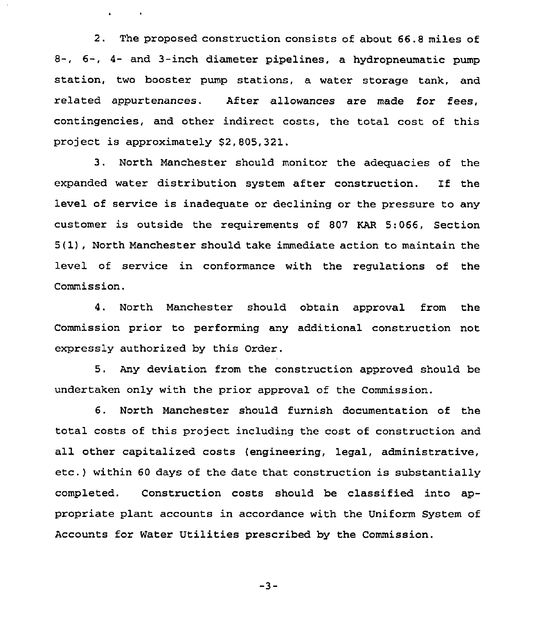2. The proposed construction consists of about 66.8 miles of 8-, 6-, 4- and 3-inch diameter pipelines, a hydropneumatic pump station, two booster pump stations, a water storage tank, and related appurtenances. After allowances are made for fees, contingencies, and other indirect costs, the total cost of this project is approximately \$2,805,321.

 $\mathbf{a} = \mathbf{a} \times \mathbf{a}$  .  $\mathbf{a} = \mathbf{a} \times \mathbf{a}$ 

3. North Manchester should monitor the adequacies of the expanded water distribution system after construction. If the level of service is inadequate or declining or the pressure to any customer is outside the requirements of 807 KAR 5:066, Section 5(1), North Manchester should take immediate action to maintain the level of service in conformance with the regulations of the Commission.

4. North Manchester should obtain approval from the Commission prior to performing any additional construction not expressly authorized by this Order.

5. Any deviation from the construction approved should be undertaken only with the prior approval of the Commission.

6. North Manchester should furnish documentation of the total costs of this project including the cost of construction and all other capitalized costs (engineering, legal, administrative, etc.) within <sup>60</sup> days of the date that construction is substantially completed. Construction costs should be classified into appropriate plant accounts in accordance with the Uniform System of Accounts for Water Utilities prescribed by the Commission.

$$
-3-
$$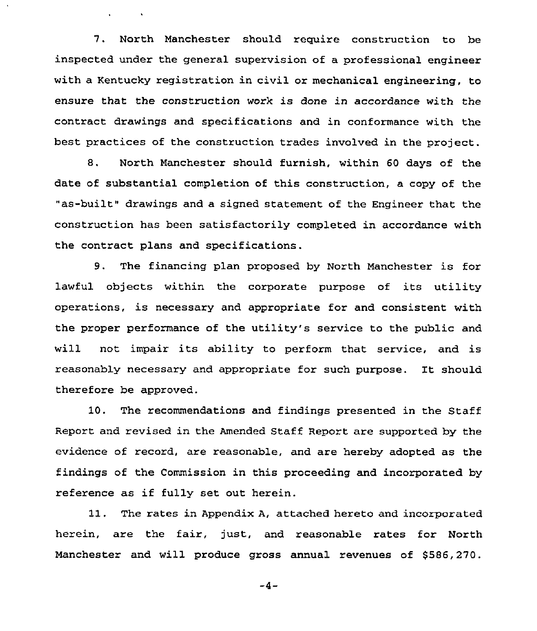7. North Manchester should reguire construction to be inspected under the general supervision of a professional engineer with a Kentucky registration in civil or mechanical engineering, to ensure that the construction work is done in accordance with the contract drawings and specifications and in confoxmance with the best practices of the construction trades involved in the project.

 $\mathcal{A}(\mathcal{A})$  and  $\mathcal{A}(\mathcal{A})$ 

8. North Manchester should furnish, within 60 days of the date of substantial completion of this construction, a copy of the "as-built" drawings and a signed statement of the Engineer that the construction has been satisfactorily completed in accordance with the contract plans and specifications.

9. The financing plan proposed by North Manchester is for lawful objects within the corporate purpose of its utility operations, is necessary and appropriate for and consistent with the proper performance of the utility's service to the public and will not impair its ability to perform that service, and is reasonably necessary and appropriate for such purpose. It should therefore be approved.

10. The recommendations and findings presented in the Staff Report and revised in the Amended Staff Report are supported by the evidence of record, are reasonable, and are hereby adopted as the findings of the Commission in this proceeding and incorporated by reference as if fully set out herein.

11. The rates in Appendix A, attached hexeto and incorporated herein, are the fair, just, and reasonable rates for North Manchestex and will produce gross annual revenues of \$586,270.

-4-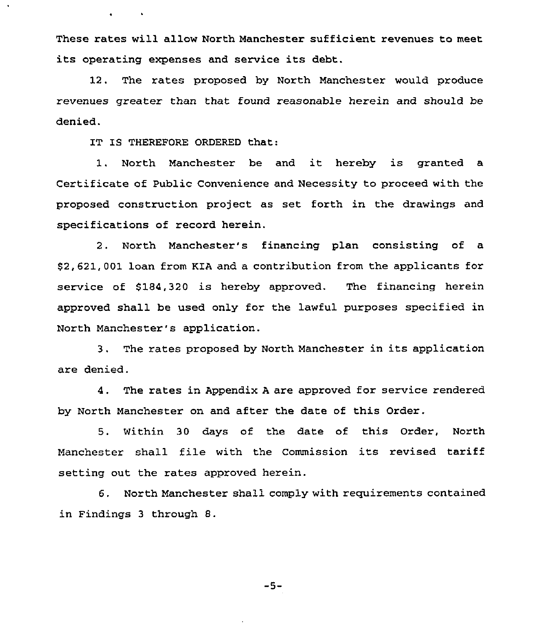These rates will allow North Manchester sufficient revenues to meet its operating expenses and service its debt.

12. The rates proposed by North Manchester would produce revenues greater than that found reasonable herein and should be denied.

IT IS THEREFORE ORDERED that:

 $\mathbf{c} = \mathbf{0} \times \mathbf{0}$  .

1. North Manchester be and it hereby is granted <sup>a</sup> Certificate of Public Convenience and Necessity to proceed with the proposed construction project as set forth in the drawings and specifications of record herein.

2. North Manchester's financing plan consisting of a 82,621,001 loan from KIA and a contribution from the applicants for service of \$184,320 is hereby approved. The financing herein approved shall be used only for the lawful purposes specified in North Manchester's application.

3, The rates proposed by North Manchester in its application are denied.

4. The rates in Appendix <sup>A</sup> are approved for service rendered by North Manchester on and after the date of this Order.

5. Within 30 days of the date of this Order, North Manchester shall file with the Commission its revised tariff setting out the rates approved herein.

6. North Manchester shall comply with requirements contained in Findings <sup>3</sup> through 8.

-5-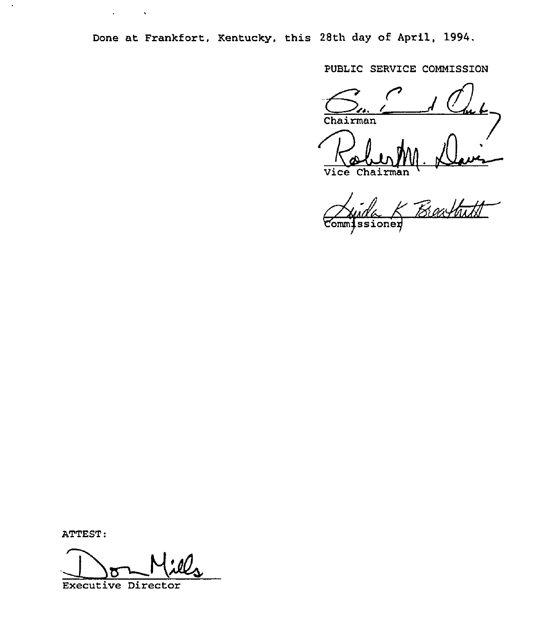Done at Frankfort, Kentucky, this 28th day of April, 1994.

PUBLIC SERVICE COMMISSION

 $d$ Chairman

Vice Chairman

Beathitt Commissioner

ATTEST:

 $\ddot{\phantom{a}}$ 

 $\mathcal{A}^{\text{c}}$  and  $\mathcal{A}^{\text{c}}$  and  $\mathcal{A}^{\text{c}}$ 

BB Mill